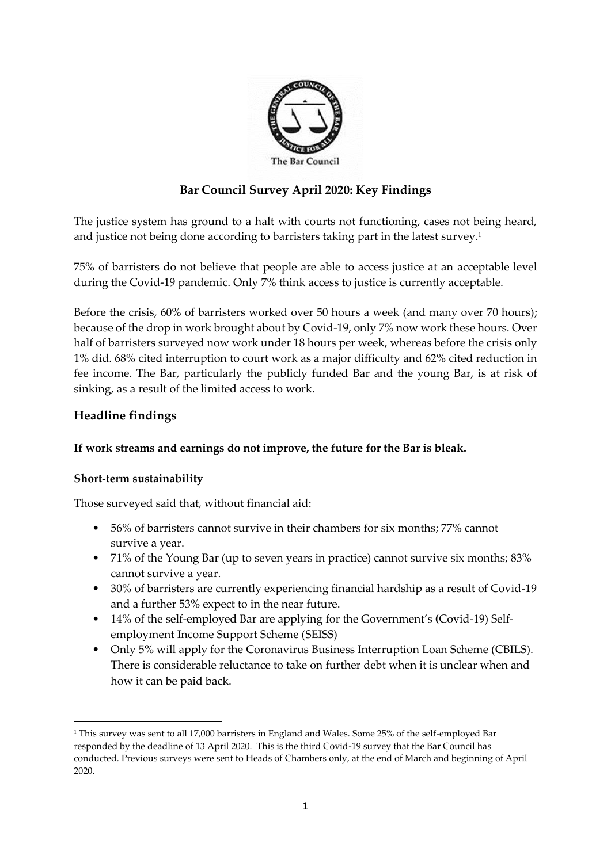

# **Bar Council Survey April 2020: Key Findings**

The justice system has ground to a halt with courts not functioning, cases not being heard, and justice not being done according to barristers taking part in the latest survey. 1

75% of barristers do not believe that people are able to access justice at an acceptable level during the Covid-19 pandemic. Only 7% think access to justice is currently acceptable.

Before the crisis, 60% of barristers worked over 50 hours a week (and many over 70 hours); because of the drop in work brought about by Covid-19, only 7% now work these hours. Over half of barristers surveyed now work under 18 hours per week, whereas before the crisis only 1% did. 68% cited interruption to court work as a major difficulty and 62% cited reduction in fee income. The Bar, particularly the publicly funded Bar and the young Bar, is at risk of sinking, as a result of the limited access to work.

## **Headline findings**

### **If work streams and earnings do not improve, the future for the Bar is bleak.**

### **Short-term sustainability**

Those surveyed said that, without financial aid:

- 56% of barristers cannot survive in their chambers for six months; 77% cannot survive a year.
- 71% of the Young Bar (up to seven years in practice) cannot survive six months; 83% cannot survive a year.
- 30% of barristers are currently experiencing financial hardship as a result of Covid-19 and a further 53% expect to in the near future.
- 14% of the self-employed Bar are applying for the Government's **(**Covid-19) Selfemployment Income Support Scheme (SEISS)
- Only 5% will apply for the Coronavirus Business Interruption Loan Scheme (CBILS). There is considerable reluctance to take on further debt when it is unclear when and how it can be paid back.

<sup>&</sup>lt;sup>1</sup> This survey was sent to all 17,000 barristers in England and Wales. Some 25% of the self-employed Bar responded by the deadline of 13 April 2020. This is the third Covid-19 survey that the Bar Council has conducted. Previous surveys were sent to Heads of Chambers only, at the end of March and beginning of April 2020.